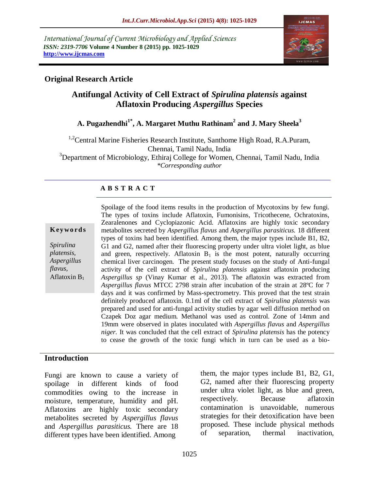*International Journal of Current Microbiology and Applied Sciences ISSN: 2319-7706* **Volume 4 Number 8 (2015) pp. 1025-1029 http://www.ijcmas.com** 



# **Original Research Article**

# **Antifungal Activity of Cell Extract of** *Spirulina platensis* **against Aflatoxin Producing** *Aspergillus* **Species**

# **A. Pugazhendhi1\* , A. Margaret Muthu Rathinam<sup>2</sup> and J. Mary Sheela<sup>3</sup>**

<sup>1,2</sup>Central Marine Fisheries Research Institute, Santhome High Road, R.A.Puram, Chennai, Tamil Nadu, India <sup>3</sup>Department of Microbiology, Ethiraj College for Women, Chennai, Tamil Nadu, India *\*Corresponding author*

## **A B S T R A C T**

#### **K ey w o rd s**

*Spirulina platensis, Aspergillus flavus,*  Aflatoxin  $B_1$  Spoilage of the food items results in the production of Mycotoxins by few fungi. The types of toxins include Aflatoxin, Fumonisins, Tricothecene, Ochratoxins, Zearalenones and Cyclopiazonic Acid. Aflatoxins are highly toxic secondary metabolites secreted by *Aspergillus flavus* and *Aspergillus parasiticus.* 18 different types of toxins had been identified. Among them, the major types include B1, B2, G1 and G2, named after their fluorescing property under ultra violet light, as blue and green, respectively. Aflatoxin  $B_1$  is the most potent, naturally occurring chemical liver carcinogen. The present study focuses on the study of Anti-fungal activity of the cell extract of *Spirulina platensis* against aflatoxin producing *Aspergillus sp* (Vinay Kumar et al., 2013)*.* The aflatoxin was extracted from *Aspergillus flavus* MTCC 2798 strain after incubation of the strain at 28ºC for 7 days and it was confirmed by Mass-spectrometry. This proved that the test strain definitely produced aflatoxin. 0.1ml of the cell extract of *Spirulina platensis* was prepared and used for anti-fungal activity studies by agar well diffusion method on Czapek Doz agar medium. Methanol was used as control. Zone of 14mm and 19mm were observed in plates inoculated with *Aspergillus flavus* and *Aspergillus niger.* It was concluded that the cell extract of *Spirulina platensis* has the potency to cease the growth of the toxic fungi which in turn can be used as a bio-

### **Introduction**

Fungi are known to cause a variety of spoilage in different kinds of food commodities owing to the increase in moisture, temperature, humidity and pH. Aflatoxins are highly toxic secondary metabolites secreted by *Aspergillus flavus*  and *Aspergillus parasiticus.* There are 18 different types have been identified. Among

them, the major types include B1, B2, G1, G2, named after their fluorescing property under ultra violet light, as blue and green, respectively. Because aflatoxin contamination is unavoidable, numerous strategies for their detoxification have been proposed. These include physical methods of separation, thermal inactivation,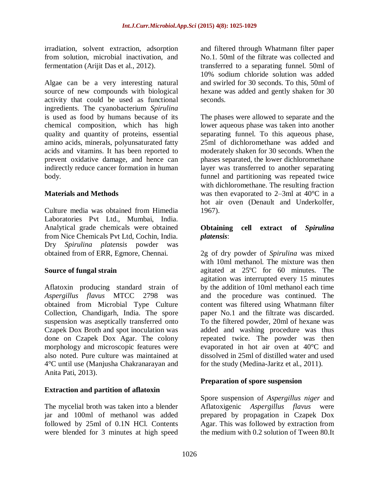irradiation, solvent extraction, adsorption from solution, microbial inactivation, and fermentation (Arijit Das et al., 2012).

Algae can be a very interesting natural source of new compounds with biological activity that could be used as functional ingredients. The cyanobacterium *Spirulina*  is used as food by humans because of its chemical composition, which has high quality and quantity of proteins, essential amino acids, minerals, polyunsaturated fatty acids and vitamins. It has been reported to prevent oxidative damage, and hence can indirectly reduce cancer formation in human body.

### **Materials and Methods**

Culture media was obtained from Himedia Laboratories Pvt Ltd., Mumbai, India. Analytical grade chemicals were obtained from Nice Chemicals Pvt Ltd, Cochin, India. Dry *Spirulina platensis* powder was obtained from of ERR, Egmore, Chennai.

### **Source of fungal strain**

Aflatoxin producing standard strain of *Aspergillus flavus* MTCC 2798 was obtained from Microbial Type Culture Collection, Chandigarh, India. The spore suspension was aseptically transferred onto Czapek Dox Broth and spot inoculation was done on Czapek Dox Agar. The colony morphology and microscopic features were also noted. Pure culture was maintained at 4°C until use (Manjusha Chakranarayan and Anita Pati, 2013).

### **Extraction and partition of aflatoxin**

The mycelial broth was taken into a blender jar and 100ml of methanol was added followed by 25ml of 0.1N HCl. Contents were blended for 3 minutes at high speed

and filtered through Whatmann filter paper No.1. 50ml of the filtrate was collected and transferred to a separating funnel. 50ml of 10% sodium chloride solution was added and swirled for 30 seconds. To this, 50ml of hexane was added and gently shaken for 30 seconds.

The phases were allowed to separate and the lower aqueous phase was taken into another separating funnel. To this aqueous phase, 25ml of dichloromethane was added and moderately shaken for 30 seconds. When the phases separated, the lower dichloromethane layer was transferred to another separating funnel and partitioning was repeated twice with dichloromethane. The resulting fraction was then evaporated to 2–3ml at 40°C in a hot air oven (Denault and Underkolfer, 1967).

### **Obtaining cell extract of** *Spirulina platensis*:

2g of dry powder of *Spirulina* was mixed with 10ml methanol. The mixture was then agitated at 25ºC for 60 minutes. The agitation was interrupted every 15 minutes by the addition of 10ml methanol each time and the procedure was continued. The content was filtered using Whatmann filter paper No.1 and the filtrate was discarded. To the filtered powder, 20ml of hexane was added and washing procedure was thus repeated twice. The powder was then evaporated in hot air oven at 40°C and dissolved in 25ml of distilled water and used for the study (Medina-Jaritz et al., 2011).

# **Preparation of spore suspension**

Spore suspension of *Aspergillus niger* and Aflatoxigenic *Aspergillus flavus* were prepared by propagation in Czapek Dox Agar. This was followed by extraction from the medium with 0.2 solution of Tween 80.It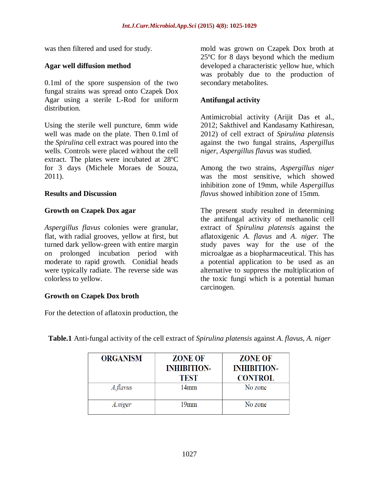was then filtered and used for study.

### **Agar well diffusion method**

0.1ml of the spore suspension of the two fungal strains was spread onto Czapek Dox Agar using a sterile L-Rod for uniform distribution.

Using the sterile well puncture, 6mm wide well was made on the plate. Then 0.1ml of the *Spirulina* cell extract was poured into the wells. Controls were placed without the cell extract. The plates were incubated at 28ºC for 3 days (Michele Moraes de Souza, 2011).

#### **Results and Discussion**

#### **Growth on Czapek Dox agar**

*Aspergillus flavus* colonies were granular, flat, with radial grooves, yellow at first, but turned dark yellow-green with entire margin on prolonged incubation period with moderate to rapid growth. Conidial heads were typically radiate. The reverse side was colorless to yellow.

### **Growth on Czapek Dox broth**

For the detection of aflatoxin production, the

mold was grown on Czapek Dox broth at 25ºC for 8 days beyond which the medium developed a characteristic yellow hue, which was probably due to the production of secondary metabolites.

#### **Antifungal activity**

Antimicrobial activity (Arijit Das et al., 2012; Sakthivel and Kandasamy Kathiresan, 2012) of cell extract of *Spirulina platensis* against the two fungal strains, *Aspergillus niger, Aspergillus flavus* was studied.

Among the two strains, *Aspergillus niger*  was the most sensitive, which showed inhibition zone of 19mm, while *Aspergillus flavus* showed inhibition zone of 15mm.

The present study resulted in determining the antifungal activity of methanolic cell extract of *Spirulina platensis* against the aflatoxigenic *A. flavus* and *A. niger.* The study paves way for the use of the microalgae as a biopharmaceutical. This has a potential application to be used as an alternative to suppress the multiplication of the toxic fungi which is a potential human carcinogen.

| <b>ORGANISM</b> | <b>ZONE OF</b><br><b>INHIBITION-</b><br><b>TEST</b> | <b>ZONE OF</b><br><b>INHIBITION-</b><br><b>CONTROL</b> |
|-----------------|-----------------------------------------------------|--------------------------------------------------------|
| A.flavus        | 14mm                                                | No zone                                                |
| A.niger         | 19mm                                                | No zone                                                |

**Table.1** Anti-fungal activity of the cell extract of *Spirulina platensis* against *A. flavus, A. niger*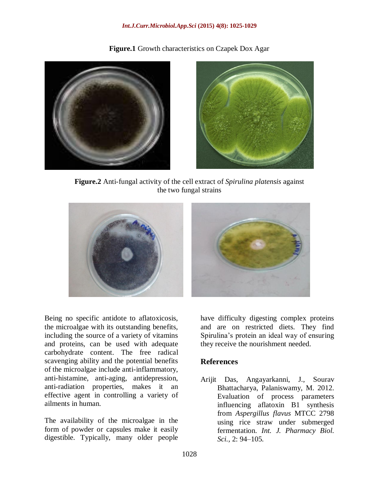#### *Int.J.Curr.Microbiol.App.Sci* **(2015) 4(8): 1025-1029**

**Figure.1** Growth characteristics on Czapek Dox Agar





**Figure.2** Anti-fungal activity of the cell extract of *Spirulina platensis* against the two fungal strains



Being no specific antidote to aflatoxicosis, the microalgae with its outstanding benefits, including the source of a variety of vitamins and proteins, can be used with adequate carbohydrate content. The free radical scavenging ability and the potential benefits of the microalgae include anti-inflammatory, anti-histamine, anti-aging, antidepression, anti-radiation properties, makes it an effective agent in controlling a variety of ailments in human.

The availability of the microalgae in the form of powder or capsules make it easily digestible. Typically, many older people

have difficulty digesting complex proteins and are on restricted diets. They find Spirulina's protein an ideal way of ensuring they receive the nourishment needed.

# **References**

Arijit Das, Angayarkanni, J., Sourav Bhattacharya, Palaniswamy, M. 2012. Evaluation of process parameters influencing aflatoxin B1 synthesis from *Aspergillus flavus* MTCC 2798 using rice straw under submerged fermentation. *Int. J. Pharmacy Biol. Sci.,* 2: 94–105.